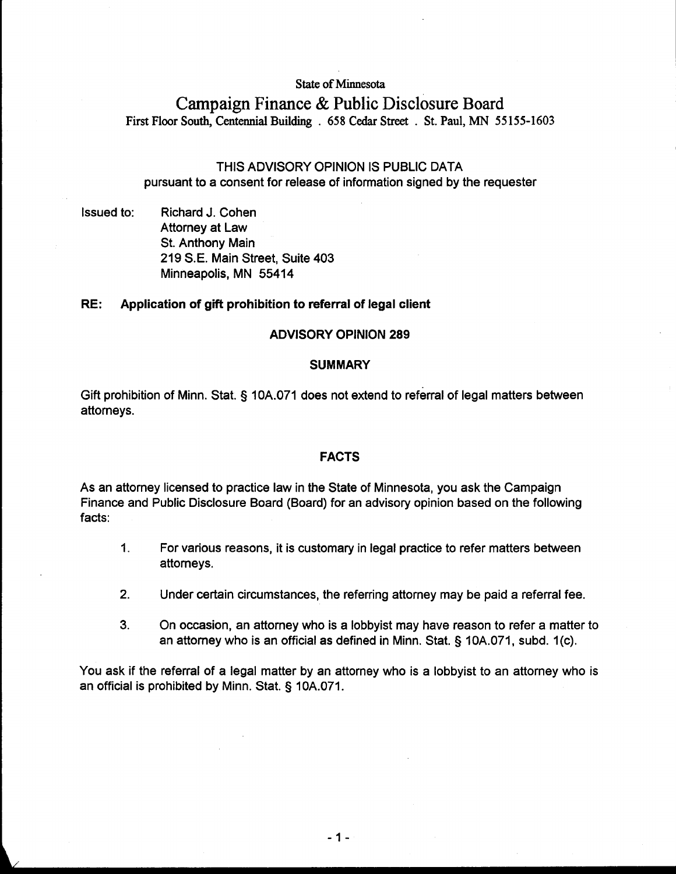#### **State of Minnesota**

# **Campaign Finance** & **Public Disclosure** Board **First Floor South, Centennial Building** . **658 Cedar Street** . **St. Paul, MN 55 155-1603**

# THIS ADVISORY OPINION IS PUBLIC DATA pursuant to a consent for release of information signed by the requester

Issued to: Richard J. Cohen Attorney at Law St. Anthony Main 219 S.E. Main Street, Suite 403 Minneapolis, MN 55414

# RE: Application of gift prohibition to referral of legal client

# ADVISORY OPINION 289

#### **SUMMARY**

Gift prohibition of Minn. Stat. § 10A.071 does not extend to referral of legal matters between attorneys.

#### FACTS

As an attorney licensed to practice law in the State of Minnesota, you ask the Campaign Finance and Public Disclosure Board (Board) for an advisory opinion based on the following facts:

- 1. For various reasons, it is customary in legal practice to refer matters between attorneys.
- **2.** Under certain circumstances, the referring attorney may be paid a referral fee.
- 3. On occasion, an attorney who is a lobbyist may have reason to refer a matter to an attorney who is an official as defined in Minn. Stat. § 10A.071, subd. I (c).

You ask if the referral of a legal matter by an attorney who is a lobbyist to an attorney who is an official is prohibited by Minn. Stat. § 10A.071.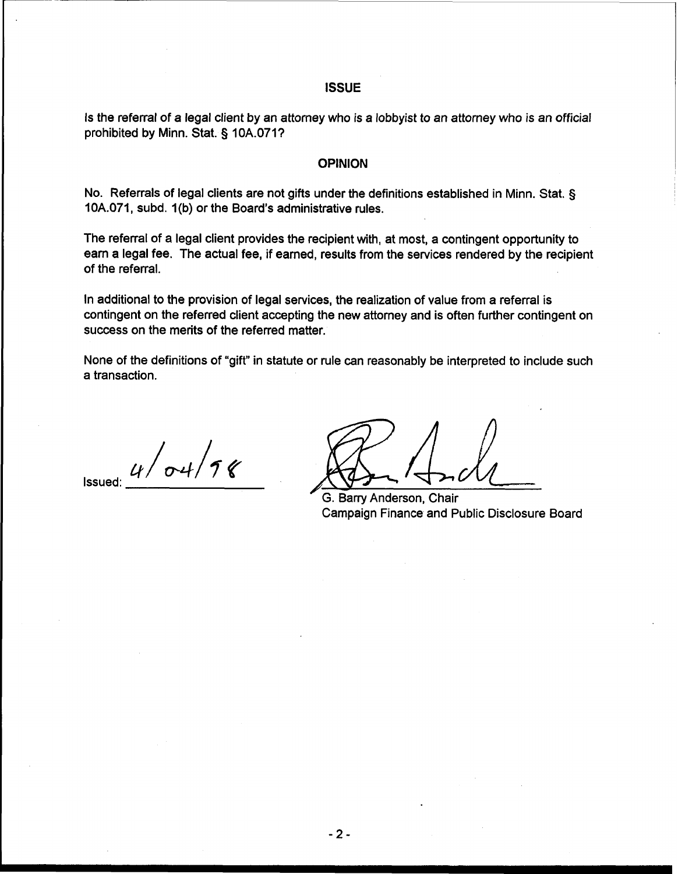# **ISSUE**

Is the referral of a legal client by an attorney who is a lobbyist to an attorney who is an official prohibited by Minn. Stat. **3** 10A.0711

# **OPINION**

No. Referrals of legal clients are not gifts under the definitions established in Minn. Stat. § 10A.071, subd. I (b) or the Board's administrative rules.

The referral of a legal client provides the recipient with, at most, a contingent opportunity to earn a legal fee. The actual fee, if earned, results from the services rendered by the recipient of the referral.

In additional to the provision of legal services, the realization of value from a referral is contingent on the referred client accepting the new attorney and is often further contingent on success on the merits of the referred matter.

None of the definitions of "gift" in statute or rule can reasonably be interpreted to include such a transaction.

 $4/\sigma$ 4/98

G. Barry Anderson, Chair Campaign Finance and Public Disclosure Board